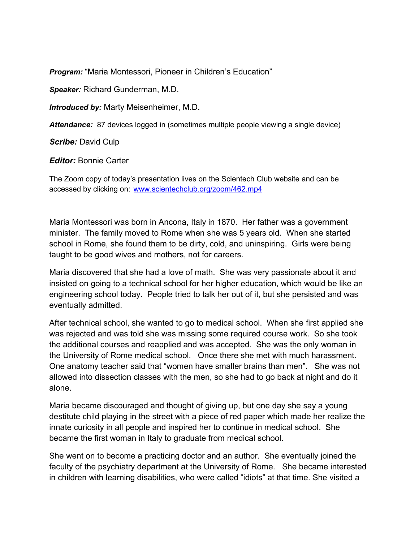Program: "Maria Montessori, Pioneer in Children's Education"

Speaker: Richard Gunderman, M.D.

Introduced by: Marty Meisenheimer, M.D.

Attendance: 87 devices logged in (sometimes multiple people viewing a single device)

Scribe: David Culp

**Editor:** Bonnie Carter

The Zoom copy of today's presentation lives on the Scientech Club website and can be accessed by clicking on: www.scientechclub.org/zoom/462.mp4

Maria Montessori was born in Ancona, Italy in 1870. Her father was a government minister. The family moved to Rome when she was 5 years old. When she started school in Rome, she found them to be dirty, cold, and uninspiring. Girls were being taught to be good wives and mothers, not for careers.

Maria discovered that she had a love of math. She was very passionate about it and insisted on going to a technical school for her higher education, which would be like an engineering school today. People tried to talk her out of it, but she persisted and was eventually admitted.

After technical school, she wanted to go to medical school. When she first applied she was rejected and was told she was missing some required course work. So she took the additional courses and reapplied and was accepted. She was the only woman in the University of Rome medical school. Once there she met with much harassment. One anatomy teacher said that "women have smaller brains than men". She was not allowed into dissection classes with the men, so she had to go back at night and do it alone.

Maria became discouraged and thought of giving up, but one day she say a young destitute child playing in the street with a piece of red paper which made her realize the innate curiosity in all people and inspired her to continue in medical school. She became the first woman in Italy to graduate from medical school.

She went on to become a practicing doctor and an author. She eventually joined the faculty of the psychiatry department at the University of Rome. She became interested in children with learning disabilities, who were called "idiots" at that time. She visited a